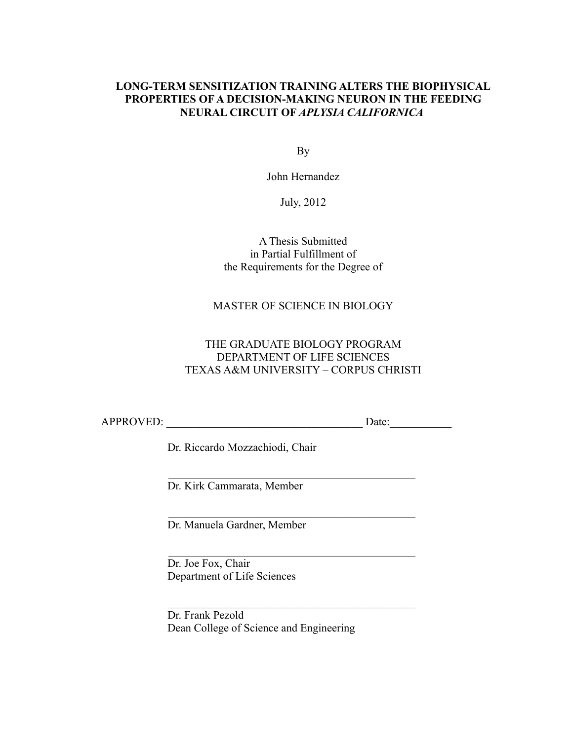#### **LONG-TERM SENSITIZATION TRAINING ALTERS THE BIOPHYSICAL PROPERTIES OF A DECISION-MAKING NEURON IN THE FEEDING NEURAL CIRCUIT OF** *APLYSIA CALIFORNICA*

By

John Hernandez

July, 2012

A Thesis Submitted in Partial Fulfillment of the Requirements for the Degree of

MASTER OF SCIENCE IN BIOLOGY

## THE GRADUATE BIOLOGY PROGRAM DEPARTMENT OF LIFE SCIENCES TEXAS A&M UNIVERSITY – CORPUS CHRISTI

APPROVED: Date:

Dr. Riccardo Mozzachiodi, Chair

 $\mathcal{L}_\text{max} = \frac{1}{2} \sum_{i=1}^{n} \frac{1}{2} \sum_{i=1}^{n} \frac{1}{2} \sum_{i=1}^{n} \frac{1}{2} \sum_{i=1}^{n} \frac{1}{2} \sum_{i=1}^{n} \frac{1}{2} \sum_{i=1}^{n} \frac{1}{2} \sum_{i=1}^{n} \frac{1}{2} \sum_{i=1}^{n} \frac{1}{2} \sum_{i=1}^{n} \frac{1}{2} \sum_{i=1}^{n} \frac{1}{2} \sum_{i=1}^{n} \frac{1}{2} \sum_{i=1}^{n} \frac{1$ 

 $\mathcal{L}_\text{max}$  and the contract of the contract of the contract of the contract of the contract of the contract of the contract of the contract of the contract of the contract of the contract of the contract of the contrac

 $\mathcal{L}_\text{max} = \frac{1}{2} \sum_{i=1}^{n} \frac{1}{2} \sum_{i=1}^{n} \frac{1}{2} \sum_{i=1}^{n} \frac{1}{2} \sum_{i=1}^{n} \frac{1}{2} \sum_{i=1}^{n} \frac{1}{2} \sum_{i=1}^{n} \frac{1}{2} \sum_{i=1}^{n} \frac{1}{2} \sum_{i=1}^{n} \frac{1}{2} \sum_{i=1}^{n} \frac{1}{2} \sum_{i=1}^{n} \frac{1}{2} \sum_{i=1}^{n} \frac{1}{2} \sum_{i=1}^{n} \frac{1$ 

 $\mathcal{L}_\text{max} = \frac{1}{2} \sum_{i=1}^{n} \frac{1}{2} \sum_{i=1}^{n} \frac{1}{2} \sum_{i=1}^{n} \frac{1}{2} \sum_{i=1}^{n} \frac{1}{2} \sum_{i=1}^{n} \frac{1}{2} \sum_{i=1}^{n} \frac{1}{2} \sum_{i=1}^{n} \frac{1}{2} \sum_{i=1}^{n} \frac{1}{2} \sum_{i=1}^{n} \frac{1}{2} \sum_{i=1}^{n} \frac{1}{2} \sum_{i=1}^{n} \frac{1}{2} \sum_{i=1}^{n} \frac{1$ 

Dr. Kirk Cammarata, Member

Dr. Manuela Gardner, Member

Dr. Joe Fox, Chair Department of Life Sciences

Dr. Frank Pezold Dean College of Science and Engineering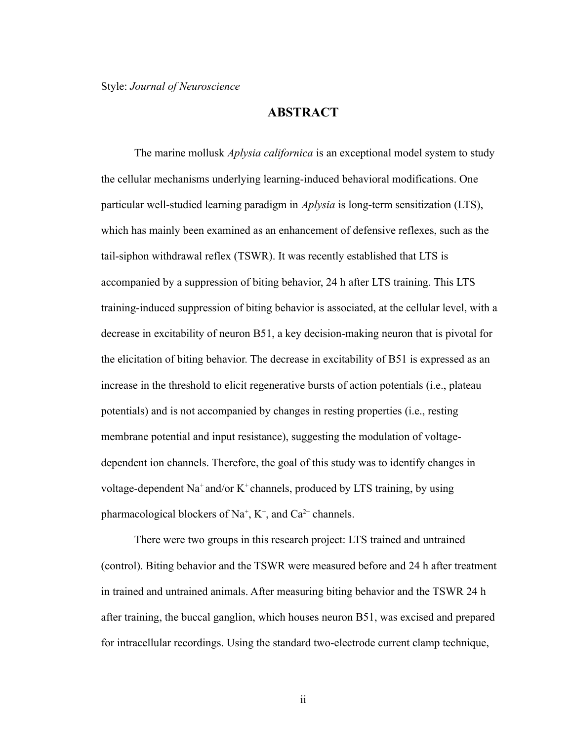### **ABSTRACT**

The marine mollusk *Aplysia californica* is an exceptional model system to study the cellular mechanisms underlying learning-induced behavioral modifications. One particular well-studied learning paradigm in *Aplysia* is long-term sensitization (LTS), which has mainly been examined as an enhancement of defensive reflexes, such as the tail-siphon withdrawal reflex (TSWR). It was recently established that LTS is accompanied by a suppression of biting behavior, 24 h after LTS training. This LTS training-induced suppression of biting behavior is associated, at the cellular level, with a decrease in excitability of neuron B51, a key decision-making neuron that is pivotal for the elicitation of biting behavior. The decrease in excitability of B51 is expressed as an increase in the threshold to elicit regenerative bursts of action potentials (i.e., plateau potentials) and is not accompanied by changes in resting properties (i.e., resting membrane potential and input resistance), suggesting the modulation of voltagedependent ion channels. Therefore, the goal of this study was to identify changes in voltage-dependent Na<sup>+</sup> and/or K<sup>+</sup> channels, produced by LTS training, by using pharmacological blockers of Na<sup>+</sup>, K<sup>+</sup>, and Ca<sup>2+</sup> channels.

There were two groups in this research project: LTS trained and untrained (control). Biting behavior and the TSWR were measured before and 24 h after treatment in trained and untrained animals. After measuring biting behavior and the TSWR 24 h after training, the buccal ganglion, which houses neuron B51, was excised and prepared for intracellular recordings. Using the standard two-electrode current clamp technique,

ii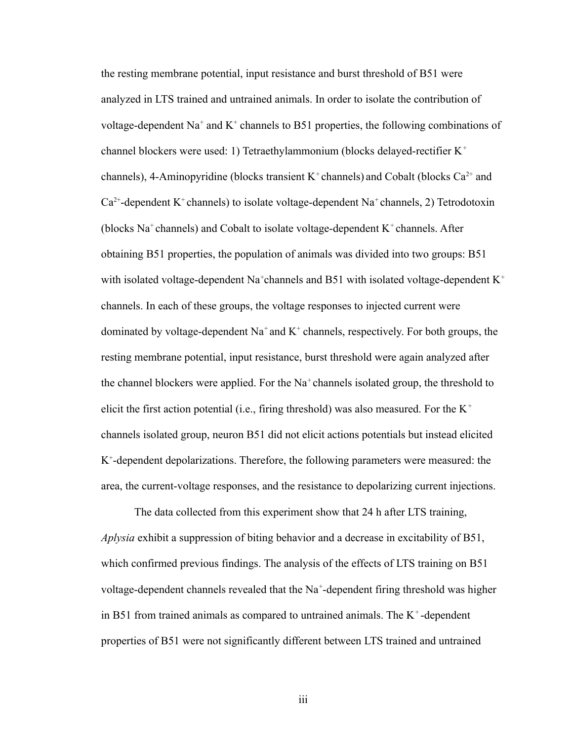the resting membrane potential, input resistance and burst threshold of B51 were analyzed in LTS trained and untrained animals. In order to isolate the contribution of voltage-dependent Na<sup>+</sup> and K<sup>+</sup> channels to B51 properties, the following combinations of channel blockers were used: 1) Tetraethylammonium (blocks delayed-rectifier K<sup>+</sup> channels), 4-Aminopyridine (blocks transient  $K^+$ channels) and Cobalt (blocks Ca<sup>2+</sup> and  $Ca^{2+}$ -dependent K<sup>+</sup> channels) to isolate voltage-dependent Na<sup>+</sup> channels, 2) Tetrodotoxin (blocks  $Na<sup>+</sup>$ channels) and Cobalt to isolate voltage-dependent  $K<sup>+</sup>$ channels. After obtaining B51 properties, the population of animals was divided into two groups: B51 with isolated voltage-dependent Na<sup>+</sup>channels and B51 with isolated voltage-dependent K<sup>+</sup> channels. In each of these groups, the voltage responses to injected current were dominated by voltage-dependent  $Na^+$  and  $K^+$  channels, respectively. For both groups, the resting membrane potential, input resistance, burst threshold were again analyzed after the channel blockers were applied. For the  $Na<sup>+</sup>$  channels isolated group, the threshold to elicit the first action potential (i.e., firing threshold) was also measured. For the  $K^+$ channels isolated group, neuron B51 did not elicit actions potentials but instead elicited K + -dependent depolarizations. Therefore, the following parameters were measured: the area, the current-voltage responses, and the resistance to depolarizing current injections.

The data collected from this experiment show that 24 h after LTS training, *Aplysia* exhibit a suppression of biting behavior and a decrease in excitability of B51, which confirmed previous findings. The analysis of the effects of LTS training on B51 voltage-dependent channels revealed that the Na<sup>+</sup>-dependent firing threshold was higher in B51 from trained animals as compared to untrained animals. The  $K^+$ -dependent properties of B51 were not significantly different between LTS trained and untrained

iii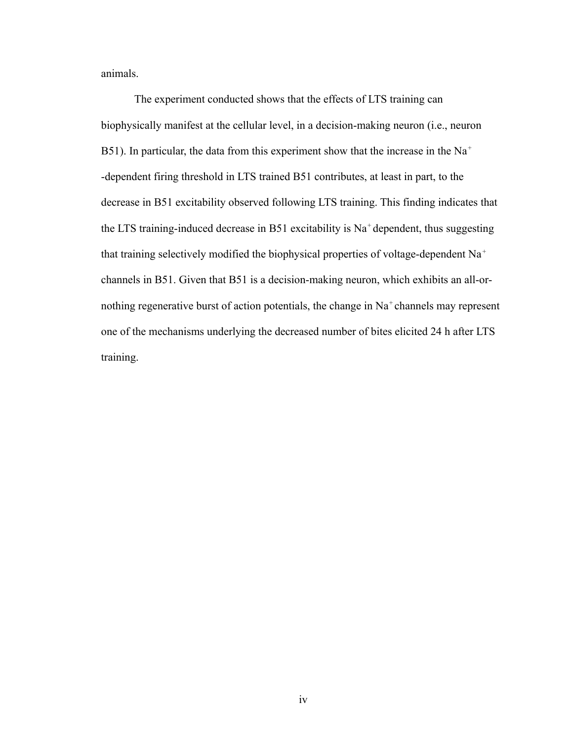animals.

The experiment conducted shows that the effects of LTS training can biophysically manifest at the cellular level, in a decision-making neuron (i.e., neuron B51). In particular, the data from this experiment show that the increase in the Na<sup>+</sup> -dependent firing threshold in LTS trained B51 contributes, at least in part, to the decrease in B51 excitability observed following LTS training. This finding indicates that the LTS training-induced decrease in B51 excitability is  $Na<sup>+</sup>$  dependent, thus suggesting that training selectively modified the biophysical properties of voltage-dependent  $Na<sup>+</sup>$ channels in B51. Given that B51 is a decision-making neuron, which exhibits an all-ornothing regenerative burst of action potentials, the change in Na<sup>+</sup>channels may represent one of the mechanisms underlying the decreased number of bites elicited 24 h after LTS training.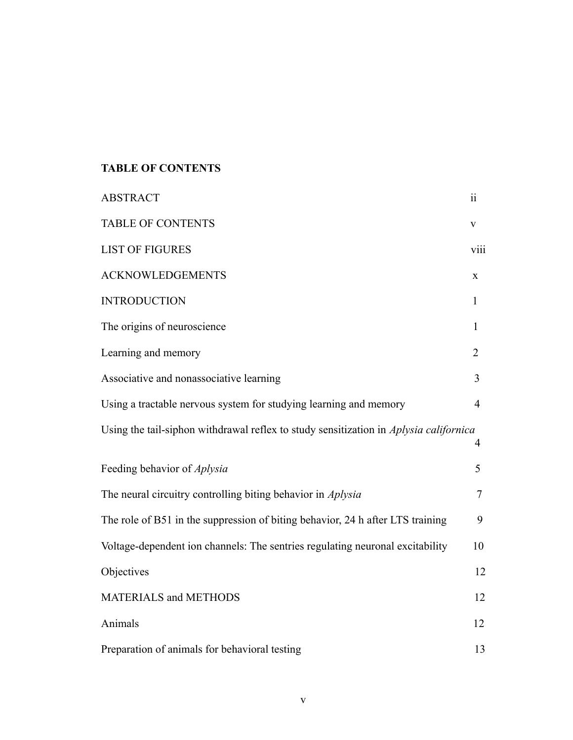# **TABLE OF CONTENTS**

| <b>ABSTRACT</b>                                                                       | $\ddot{\rm n}$ |
|---------------------------------------------------------------------------------------|----------------|
| <b>TABLE OF CONTENTS</b>                                                              | V              |
| <b>LIST OF FIGURES</b>                                                                | viii           |
| <b>ACKNOWLEDGEMENTS</b>                                                               | X              |
| <b>INTRODUCTION</b>                                                                   | $\mathbf{1}$   |
| The origins of neuroscience                                                           | $\mathbf{1}$   |
| Learning and memory                                                                   | $\overline{2}$ |
| Associative and nonassociative learning                                               | $\overline{3}$ |
| Using a tractable nervous system for studying learning and memory                     | $\overline{4}$ |
| Using the tail-siphon withdrawal reflex to study sensitization in Aplysia californica | 4              |
| Feeding behavior of <i>Aplysia</i>                                                    | 5              |
| The neural circuitry controlling biting behavior in <i>Aplysia</i>                    | $\overline{7}$ |
| The role of B51 in the suppression of biting behavior, 24 h after LTS training        | 9              |
| Voltage-dependent ion channels: The sentries regulating neuronal excitability         | 10             |
| Objectives                                                                            | 12             |
| <b>MATERIALS and METHODS</b>                                                          | 12             |
| Animals                                                                               | 12             |
| Preparation of animals for behavioral testing                                         | 13             |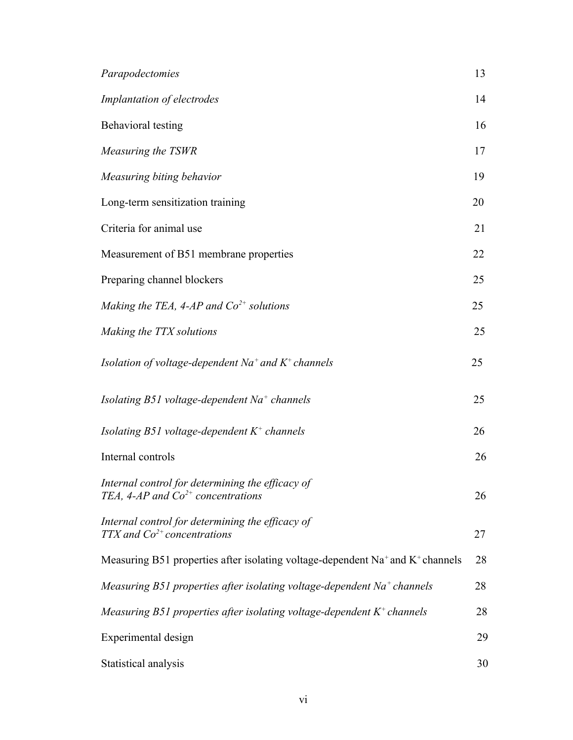| Parapodectomies                                                                                        | 13 |
|--------------------------------------------------------------------------------------------------------|----|
| Implantation of electrodes                                                                             | 14 |
| Behavioral testing                                                                                     | 16 |
| Measuring the TSWR                                                                                     | 17 |
| Measuring biting behavior                                                                              | 19 |
| Long-term sensitization training                                                                       | 20 |
| Criteria for animal use                                                                                | 21 |
| Measurement of B51 membrane properties                                                                 | 22 |
| Preparing channel blockers                                                                             | 25 |
| Making the TEA, 4-AP and $Co2+$ solutions                                                              | 25 |
| Making the TTX solutions                                                                               | 25 |
| Isolation of voltage-dependent $Na^+$ and $K^+$ channels                                               | 25 |
| Isolating B51 voltage-dependent $Na+$ channels                                                         | 25 |
| Isolating B51 voltage-dependent $K^+$ channels                                                         | 26 |
| Internal controls                                                                                      | 26 |
| Internal control for determining the efficacy of<br>TEA, 4-AP and $Co2+$ concentrations                | 26 |
| Internal control for determining the efficacy of<br>TTX and $Co^{2+}$ concentrations                   | 27 |
| Measuring B51 properties after isolating voltage-dependent Na <sup>+</sup> and K <sup>+</sup> channels | 28 |
| Measuring B51 properties after isolating voltage-dependent $Na^+$ channels                             | 28 |
| Measuring B51 properties after isolating voltage-dependent $K^+$ channels                              | 28 |
| Experimental design                                                                                    | 29 |
| Statistical analysis                                                                                   | 30 |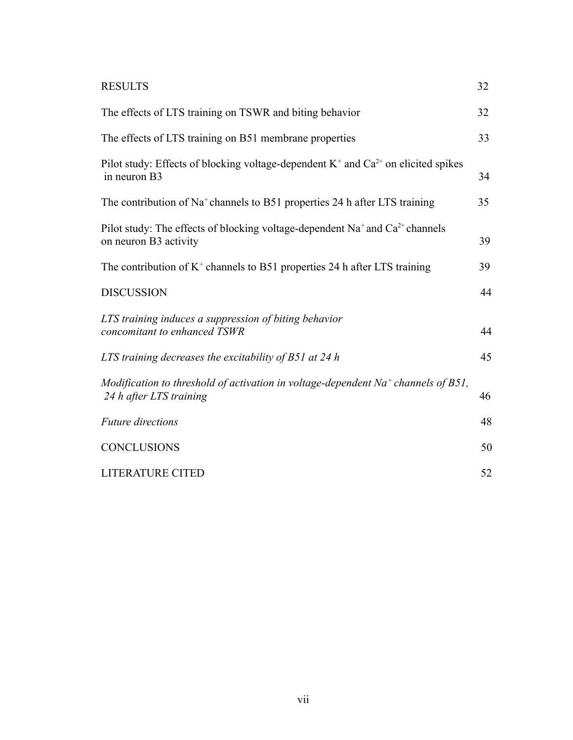| <b>RESULTS</b>                                                                                                                | 32 |
|-------------------------------------------------------------------------------------------------------------------------------|----|
| The effects of LTS training on TSWR and biting behavior                                                                       | 32 |
| The effects of LTS training on B51 membrane properties                                                                        | 33 |
| Pilot study: Effects of blocking voltage-dependent $K^+$ and $Ca^{2+}$ on elicited spikes<br>in neuron B3                     | 34 |
| The contribution of Na <sup>+</sup> channels to B51 properties 24 h after LTS training                                        | 35 |
| Pilot study: The effects of blocking voltage-dependent Na <sup>+</sup> and Ca <sup>2+</sup> channels<br>on neuron B3 activity | 39 |
| The contribution of $K^+$ channels to B51 properties 24 h after LTS training                                                  | 39 |
| <b>DISCUSSION</b>                                                                                                             | 44 |
| LTS training induces a suppression of biting behavior<br>concomitant to enhanced TSWR                                         | 44 |
| LTS training decreases the excitability of $B51$ at 24 h                                                                      | 45 |
| Modification to threshold of activation in voltage-dependent $Na^+$ channels of B51,<br>24 h after LTS training               | 46 |
| <b>Future</b> directions                                                                                                      | 48 |
| <b>CONCLUSIONS</b>                                                                                                            | 50 |
| <b>LITERATURE CITED</b>                                                                                                       | 52 |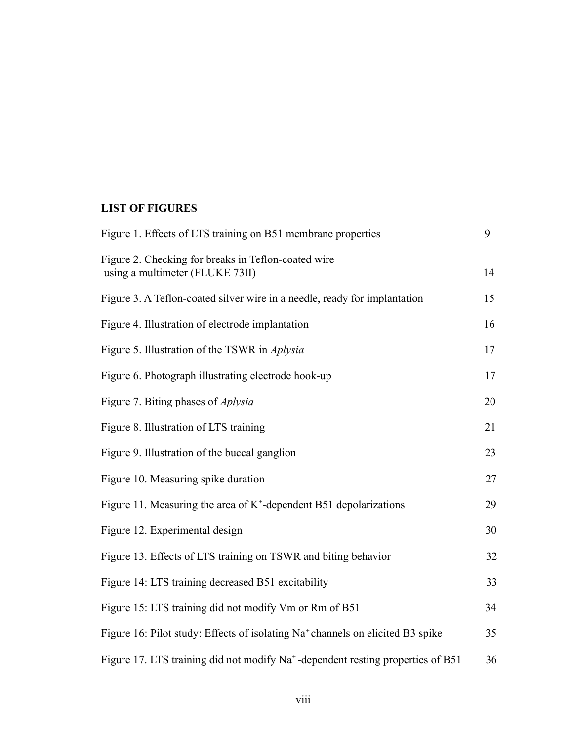# **LIST OF FIGURES**

| Figure 1. Effects of LTS training on B51 membrane properties                                | 9  |
|---------------------------------------------------------------------------------------------|----|
| Figure 2. Checking for breaks in Teflon-coated wire<br>using a multimeter (FLUKE 73II)      | 14 |
| Figure 3. A Teflon-coated silver wire in a needle, ready for implantation                   | 15 |
| Figure 4. Illustration of electrode implantation                                            | 16 |
| Figure 5. Illustration of the TSWR in <i>Aplysia</i>                                        | 17 |
| Figure 6. Photograph illustrating electrode hook-up                                         | 17 |
| Figure 7. Biting phases of <i>Aplysia</i>                                                   | 20 |
| Figure 8. Illustration of LTS training                                                      | 21 |
| Figure 9. Illustration of the buccal ganglion                                               | 23 |
| Figure 10. Measuring spike duration                                                         | 27 |
| Figure 11. Measuring the area of $K^+$ -dependent B51 depolarizations                       | 29 |
| Figure 12. Experimental design                                                              | 30 |
| Figure 13. Effects of LTS training on TSWR and biting behavior                              | 32 |
| Figure 14: LTS training decreased B51 excitability                                          | 33 |
| Figure 15: LTS training did not modify Vm or Rm of B51                                      | 34 |
| Figure 16: Pilot study: Effects of isolating Na <sup>+</sup> channels on elicited B3 spike  | 35 |
| Figure 17. LTS training did not modify Na <sup>+</sup> -dependent resting properties of B51 | 36 |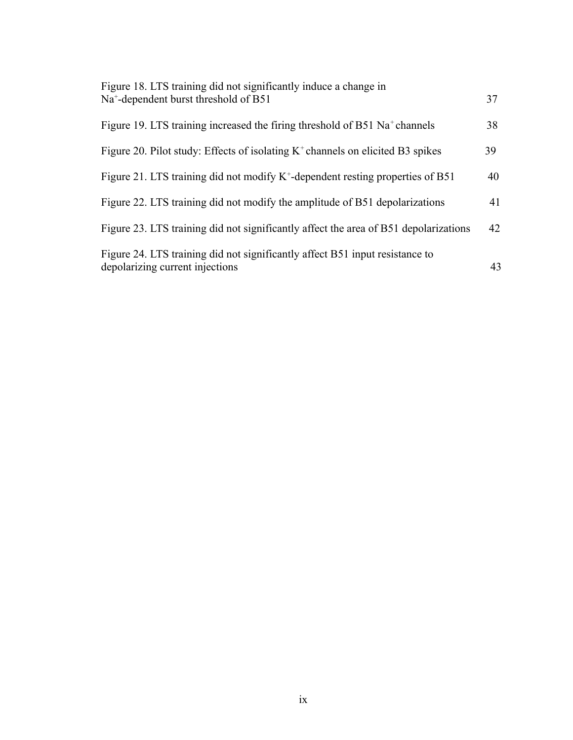| Figure 18. LTS training did not significantly induce a change in                                                |    |
|-----------------------------------------------------------------------------------------------------------------|----|
| Na <sup>+</sup> -dependent burst threshold of B51                                                               | 37 |
| Figure 19. LTS training increased the firing threshold of B51 Na <sup>+</sup> channels                          | 38 |
| Figure 20. Pilot study: Effects of isolating $K^+$ channels on elicited B3 spikes                               | 39 |
| Figure 21. LTS training did not modify $K^+$ -dependent resting properties of B51                               | 40 |
| Figure 22. LTS training did not modify the amplitude of B51 depolarizations                                     | 41 |
| Figure 23. LTS training did not significantly affect the area of B51 depolarizations                            | 42 |
| Figure 24. LTS training did not significantly affect B51 input resistance to<br>depolarizing current injections | 43 |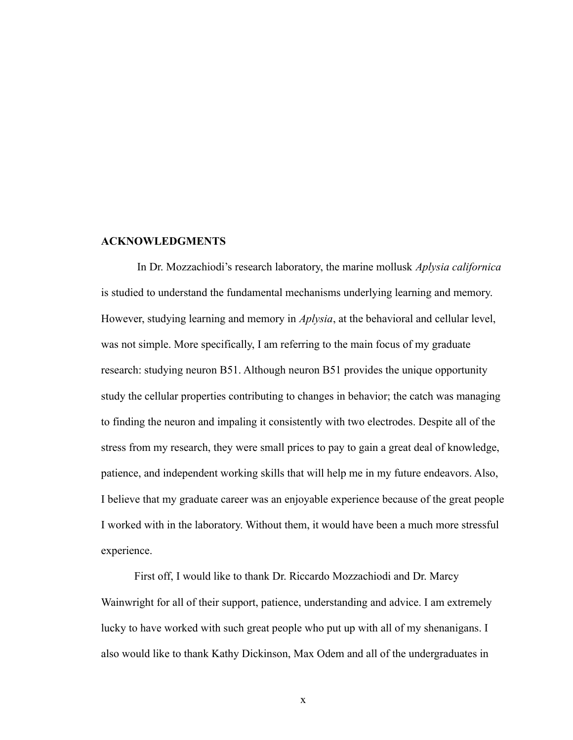#### **ACKNOWLEDGMENTS**

 In Dr. Mozzachiodi's research laboratory, the marine mollusk *Aplysia californica* is studied to understand the fundamental mechanisms underlying learning and memory. However, studying learning and memory in *Aplysia*, at the behavioral and cellular level, was not simple. More specifically, I am referring to the main focus of my graduate research: studying neuron B51. Although neuron B51 provides the unique opportunity study the cellular properties contributing to changes in behavior; the catch was managing to finding the neuron and impaling it consistently with two electrodes. Despite all of the stress from my research, they were small prices to pay to gain a great deal of knowledge, patience, and independent working skills that will help me in my future endeavors. Also, I believe that my graduate career was an enjoyable experience because of the great people I worked with in the laboratory. Without them, it would have been a much more stressful experience.

First off, I would like to thank Dr. Riccardo Mozzachiodi and Dr. Marcy Wainwright for all of their support, patience, understanding and advice. I am extremely lucky to have worked with such great people who put up with all of my shenanigans. I also would like to thank Kathy Dickinson, Max Odem and all of the undergraduates in

x